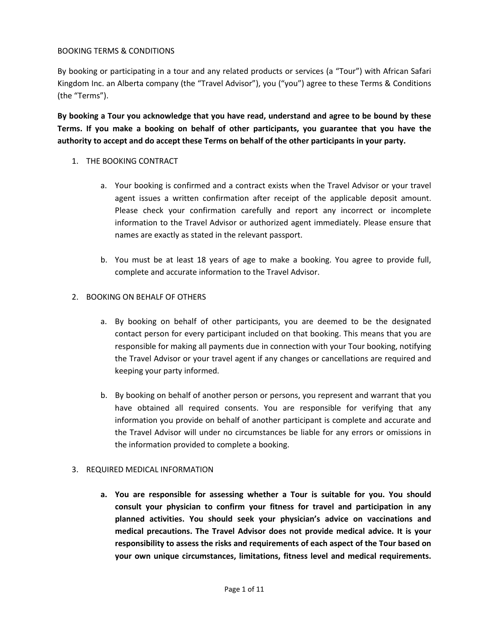### BOOKING TERMS & CONDITIONS

By booking or participating in a tour and any related products or services (a "Tour") with African Safari Kingdom Inc. an Alberta company (the "Travel Advisor"), you ("you") agree to these Terms & Conditions (the "Terms").

**By booking a Tour you acknowledge that you have read, understand and agree to be bound by these Terms. If you make a booking on behalf of other participants, you guarantee that you have the authority to accept and do accept these Terms on behalf of the other participants in your party.**

- 1. THE BOOKING CONTRACT
	- a. Your booking is confirmed and a contract exists when the Travel Advisor or your travel agent issues a written confirmation after receipt of the applicable deposit amount. Please check your confirmation carefully and report any incorrect or incomplete information to the Travel Advisor or authorized agent immediately. Please ensure that names are exactly as stated in the relevant passport.
	- b. You must be at least 18 years of age to make a booking. You agree to provide full, complete and accurate information to the Travel Advisor.

### 2. BOOKING ON BEHALF OF OTHERS

- a. By booking on behalf of other participants, you are deemed to be the designated contact person for every participant included on that booking. This means that you are responsible for making all payments due in connection with your Tour booking, notifying the Travel Advisor or your travel agent if any changes or cancellations are required and keeping your party informed.
- b. By booking on behalf of another person or persons, you represent and warrant that you have obtained all required consents. You are responsible for verifying that any information you provide on behalf of another participant is complete and accurate and the Travel Advisor will under no circumstances be liable for any errors or omissions in the information provided to complete a booking.

#### 3. REQUIRED MEDICAL INFORMATION

**a. You are responsible for assessing whether a Tour is suitable for you. You should consult your physician to confirm your fitness for travel and participation in any planned activities. You should seek your physician's advice on vaccinations and medical precautions. The Travel Advisor does not provide medical advice. It is your responsibility to assess the risks and requirements of each aspect of the Tour based on your own unique circumstances, limitations, fitness level and medical requirements.**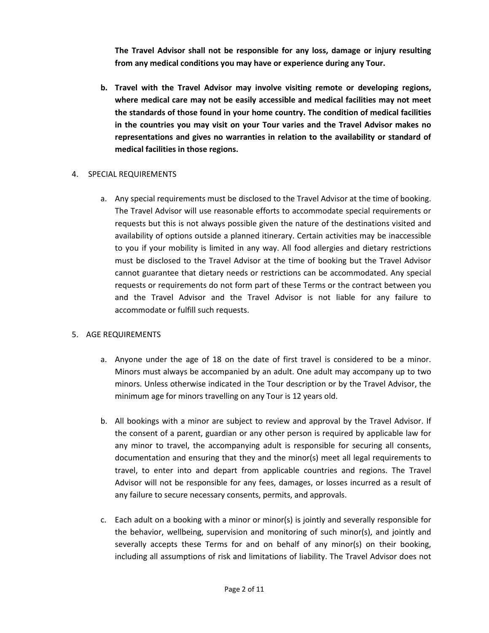**The Travel Advisor shall not be responsible for any loss, damage or injury resulting from any medical conditions you may have or experience during any Tour.**

**b. Travel with the Travel Advisor may involve visiting remote or developing regions, where medical care may not be easily accessible and medical facilities may not meet the standards of those found in your home country. The condition of medical facilities in the countries you may visit on your Tour varies and the Travel Advisor makes no representations and gives no warranties in relation to the availability or standard of medical facilities in those regions.**

### 4. SPECIAL REQUIREMENTS

a. Any special requirements must be disclosed to the Travel Advisor at the time of booking. The Travel Advisor will use reasonable efforts to accommodate special requirements or requests but this is not always possible given the nature of the destinations visited and availability of options outside a planned itinerary. Certain activities may be inaccessible to you if your mobility is limited in any way. All food allergies and dietary restrictions must be disclosed to the Travel Advisor at the time of booking but the Travel Advisor cannot guarantee that dietary needs or restrictions can be accommodated. Any special requests or requirements do not form part of these Terms or the contract between you and the Travel Advisor and the Travel Advisor is not liable for any failure to accommodate or fulfill such requests.

# 5. AGE REQUIREMENTS

- a. Anyone under the age of 18 on the date of first travel is considered to be a minor. Minors must always be accompanied by an adult. One adult may accompany up to two minors. Unless otherwise indicated in the Tour description or by the Travel Advisor, the minimum age for minors travelling on any Tour is 12 years old.
- b. All bookings with a minor are subject to review and approval by the Travel Advisor. If the consent of a parent, guardian or any other person is required by applicable law for any minor to travel, the accompanying adult is responsible for securing all consents, documentation and ensuring that they and the minor(s) meet all legal requirements to travel, to enter into and depart from applicable countries and regions. The Travel Advisor will not be responsible for any fees, damages, or losses incurred as a result of any failure to secure necessary consents, permits, and approvals.
- c. Each adult on a booking with a minor or minor(s) is jointly and severally responsible for the behavior, wellbeing, supervision and monitoring of such minor(s), and jointly and severally accepts these Terms for and on behalf of any minor(s) on their booking, including all assumptions of risk and limitations of liability. The Travel Advisor does not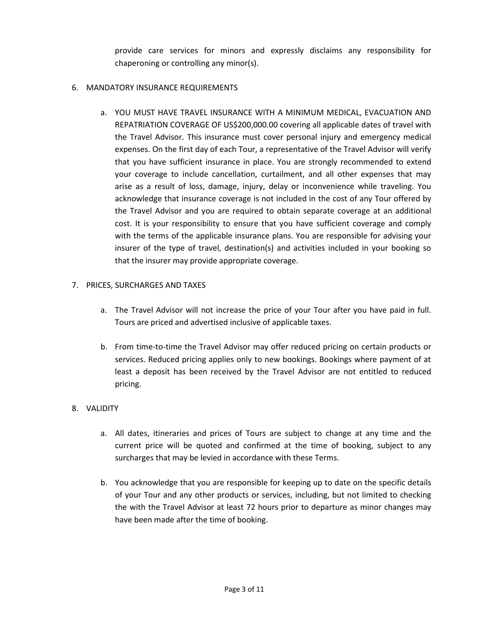provide care services for minors and expressly disclaims any responsibility for chaperoning or controlling any minor(s).

### 6. MANDATORY INSURANCE REQUIREMENTS

a. YOU MUST HAVE TRAVEL INSURANCE WITH A MINIMUM MEDICAL, EVACUATION AND REPATRIATION COVERAGE OF US\$200,000.00 covering all applicable dates of travel with the Travel Advisor. This insurance must cover personal injury and emergency medical expenses. On the first day of each Tour, a representative of the Travel Advisor will verify that you have sufficient insurance in place. You are strongly recommended to extend your coverage to include cancellation, curtailment, and all other expenses that may arise as a result of loss, damage, injury, delay or inconvenience while traveling. You acknowledge that insurance coverage is not included in the cost of any Tour offered by the Travel Advisor and you are required to obtain separate coverage at an additional cost. It is your responsibility to ensure that you have sufficient coverage and comply with the terms of the applicable insurance plans. You are responsible for advising your insurer of the type of travel, destination(s) and activities included in your booking so that the insurer may provide appropriate coverage.

### 7. PRICES, SURCHARGES AND TAXES

- a. The Travel Advisor will not increase the price of your Tour after you have paid in full. Tours are priced and advertised inclusive of applicable taxes.
- b. From time-to-time the Travel Advisor may offer reduced pricing on certain products or services. Reduced pricing applies only to new bookings. Bookings where payment of at least a deposit has been received by the Travel Advisor are not entitled to reduced pricing.

# 8. VALIDITY

- a. All dates, itineraries and prices of Tours are subject to change at any time and the current price will be quoted and confirmed at the time of booking, subject to any surcharges that may be levied in accordance with these Terms.
- b. You acknowledge that you are responsible for keeping up to date on the specific details of your Tour and any other products or services, including, but not limited to checking the with the Travel Advisor at least 72 hours prior to departure as minor changes may have been made after the time of booking.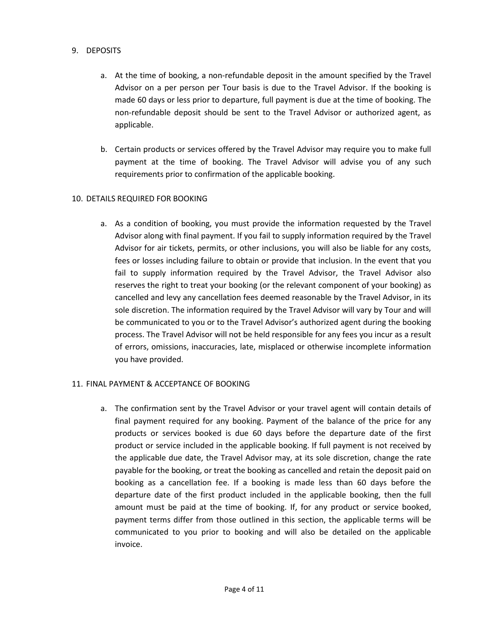### 9. DEPOSITS

- a. At the time of booking, a non-refundable deposit in the amount specified by the Travel Advisor on a per person per Tour basis is due to the Travel Advisor. If the booking is made 60 days or less prior to departure, full payment is due at the time of booking. The non-refundable deposit should be sent to the Travel Advisor or authorized agent, as applicable.
- b. Certain products or services offered by the Travel Advisor may require you to make full payment at the time of booking. The Travel Advisor will advise you of any such requirements prior to confirmation of the applicable booking.

### 10. DETAILS REQUIRED FOR BOOKING

a. As a condition of booking, you must provide the information requested by the Travel Advisor along with final payment. If you fail to supply information required by the Travel Advisor for air tickets, permits, or other inclusions, you will also be liable for any costs, fees or losses including failure to obtain or provide that inclusion. In the event that you fail to supply information required by the Travel Advisor, the Travel Advisor also reserves the right to treat your booking (or the relevant component of your booking) as cancelled and levy any cancellation fees deemed reasonable by the Travel Advisor, in its sole discretion. The information required by the Travel Advisor will vary by Tour and will be communicated to you or to the Travel Advisor's authorized agent during the booking process. The Travel Advisor will not be held responsible for any fees you incur as a result of errors, omissions, inaccuracies, late, misplaced or otherwise incomplete information you have provided.

#### 11. FINAL PAYMENT & ACCEPTANCE OF BOOKING

a. The confirmation sent by the Travel Advisor or your travel agent will contain details of final payment required for any booking. Payment of the balance of the price for any products or services booked is due 60 days before the departure date of the first product or service included in the applicable booking. If full payment is not received by the applicable due date, the Travel Advisor may, at its sole discretion, change the rate payable for the booking, or treat the booking as cancelled and retain the deposit paid on booking as a cancellation fee. If a booking is made less than 60 days before the departure date of the first product included in the applicable booking, then the full amount must be paid at the time of booking. If, for any product or service booked, payment terms differ from those outlined in this section, the applicable terms will be communicated to you prior to booking and will also be detailed on the applicable invoice.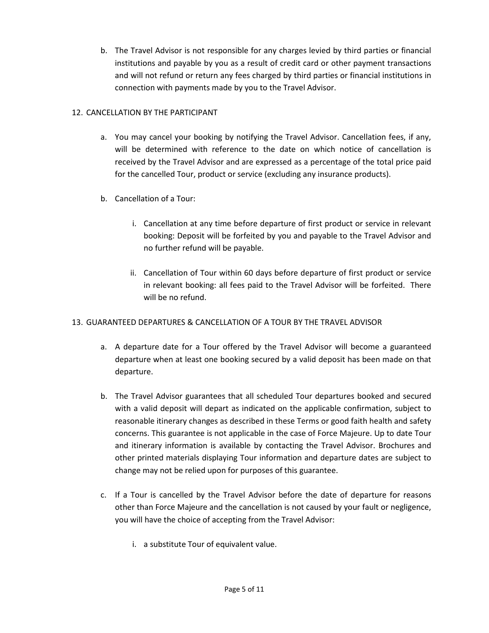b. The Travel Advisor is not responsible for any charges levied by third parties or financial institutions and payable by you as a result of credit card or other payment transactions and will not refund or return any fees charged by third parties or financial institutions in connection with payments made by you to the Travel Advisor.

# 12. CANCELLATION BY THE PARTICIPANT

- a. You may cancel your booking by notifying the Travel Advisor. Cancellation fees, if any, will be determined with reference to the date on which notice of cancellation is received by the Travel Advisor and are expressed as a percentage of the total price paid for the cancelled Tour, product or service (excluding any insurance products).
- b. Cancellation of a Tour:
	- i. Cancellation at any time before departure of first product or service in relevant booking: Deposit will be forfeited by you and payable to the Travel Advisor and no further refund will be payable.
	- ii. Cancellation of Tour within 60 days before departure of first product or service in relevant booking: all fees paid to the Travel Advisor will be forfeited. There will be no refund.

# 13. GUARANTEED DEPARTURES & CANCELLATION OF A TOUR BY THE TRAVEL ADVISOR

- a. A departure date for a Tour offered by the Travel Advisor will become a guaranteed departure when at least one booking secured by a valid deposit has been made on that departure.
- b. The Travel Advisor guarantees that all scheduled Tour departures booked and secured with a valid deposit will depart as indicated on the applicable confirmation, subject to reasonable itinerary changes as described in these Terms or good faith health and safety concerns. This guarantee is not applicable in the case of Force Majeure. Up to date Tour and itinerary information is available by contacting the Travel Advisor. Brochures and other printed materials displaying Tour information and departure dates are subject to change may not be relied upon for purposes of this guarantee.
- c. If a Tour is cancelled by the Travel Advisor before the date of departure for reasons other than Force Majeure and the cancellation is not caused by your fault or negligence, you will have the choice of accepting from the Travel Advisor:
	- i. a substitute Tour of equivalent value.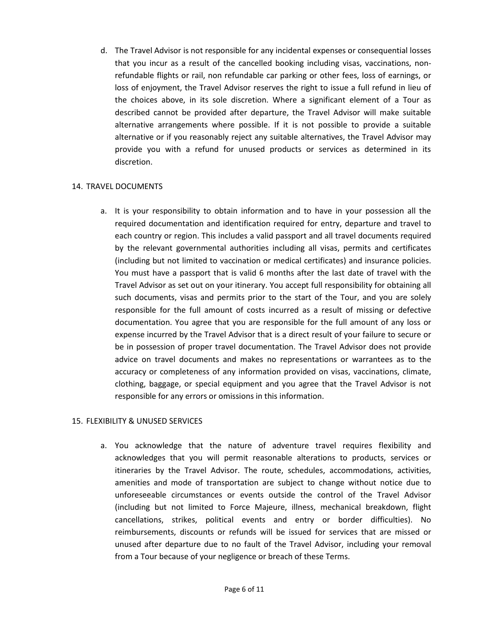d. The Travel Advisor is not responsible for any incidental expenses or consequential losses that you incur as a result of the cancelled booking including visas, vaccinations, nonrefundable flights or rail, non refundable car parking or other fees, loss of earnings, or loss of enjoyment, the Travel Advisor reserves the right to issue a full refund in lieu of the choices above, in its sole discretion. Where a significant element of a Tour as described cannot be provided after departure, the Travel Advisor will make suitable alternative arrangements where possible. If it is not possible to provide a suitable alternative or if you reasonably reject any suitable alternatives, the Travel Advisor may provide you with a refund for unused products or services as determined in its discretion.

### 14. TRAVEL DOCUMENTS

a. It is your responsibility to obtain information and to have in your possession all the required documentation and identification required for entry, departure and travel to each country or region. This includes a valid passport and all travel documents required by the relevant governmental authorities including all visas, permits and certificates (including but not limited to vaccination or medical certificates) and insurance policies. You must have a passport that is valid 6 months after the last date of travel with the Travel Advisor as set out on your itinerary. You accept full responsibility for obtaining all such documents, visas and permits prior to the start of the Tour, and you are solely responsible for the full amount of costs incurred as a result of missing or defective documentation. You agree that you are responsible for the full amount of any loss or expense incurred by the Travel Advisor that is a direct result of your failure to secure or be in possession of proper travel documentation. The Travel Advisor does not provide advice on travel documents and makes no representations or warrantees as to the accuracy or completeness of any information provided on visas, vaccinations, climate, clothing, baggage, or special equipment and you agree that the Travel Advisor is not responsible for any errors or omissions in this information.

# 15. FLEXIBILITY & UNUSED SERVICES

a. You acknowledge that the nature of adventure travel requires flexibility and acknowledges that you will permit reasonable alterations to products, services or itineraries by the Travel Advisor. The route, schedules, accommodations, activities, amenities and mode of transportation are subject to change without notice due to unforeseeable circumstances or events outside the control of the Travel Advisor (including but not limited to Force Majeure, illness, mechanical breakdown, flight cancellations, strikes, political events and entry or border difficulties). No reimbursements, discounts or refunds will be issued for services that are missed or unused after departure due to no fault of the Travel Advisor, including your removal from a Tour because of your negligence or breach of these Terms.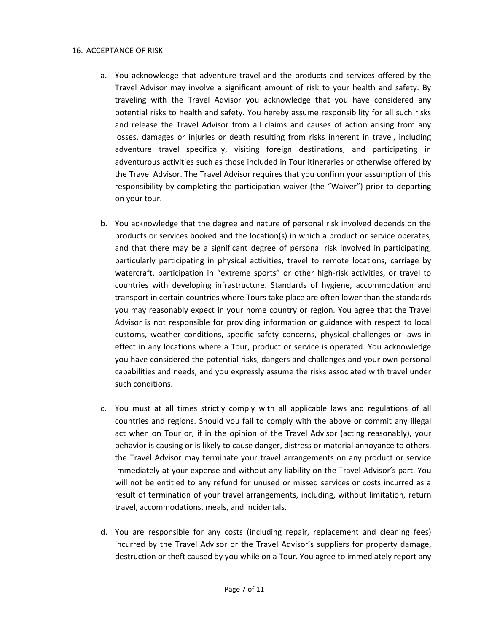#### 16. ACCEPTANCE OF RISK

- a. You acknowledge that adventure travel and the products and services offered by the Travel Advisor may involve a significant amount of risk to your health and safety. By traveling with the Travel Advisor you acknowledge that you have considered any potential risks to health and safety. You hereby assume responsibility for all such risks and release the Travel Advisor from all claims and causes of action arising from any losses, damages or injuries or death resulting from risks inherent in travel, including adventure travel specifically, visiting foreign destinations, and participating in adventurous activities such as those included in Tour itineraries or otherwise offered by the Travel Advisor. The Travel Advisor requires that you confirm your assumption of this responsibility by completing the participation waiver (the "Waiver") prior to departing on your tour.
- b. You acknowledge that the degree and nature of personal risk involved depends on the products or services booked and the location(s) in which a product or service operates, and that there may be a significant degree of personal risk involved in participating, particularly participating in physical activities, travel to remote locations, carriage by watercraft, participation in "extreme sports" or other high-risk activities, or travel to countries with developing infrastructure. Standards of hygiene, accommodation and transport in certain countries where Tours take place are often lower than the standards you may reasonably expect in your home country or region. You agree that the Travel Advisor is not responsible for providing information or guidance with respect to local customs, weather conditions, specific safety concerns, physical challenges or laws in effect in any locations where a Tour, product or service is operated. You acknowledge you have considered the potential risks, dangers and challenges and your own personal capabilities and needs, and you expressly assume the risks associated with travel under such conditions.
- c. You must at all times strictly comply with all applicable laws and regulations of all countries and regions. Should you fail to comply with the above or commit any illegal act when on Tour or, if in the opinion of the Travel Advisor (acting reasonably), your behavior is causing or is likely to cause danger, distress or material annoyance to others, the Travel Advisor may terminate your travel arrangements on any product or service immediately at your expense and without any liability on the Travel Advisor's part. You will not be entitled to any refund for unused or missed services or costs incurred as a result of termination of your travel arrangements, including, without limitation, return travel, accommodations, meals, and incidentals.
- d. You are responsible for any costs (including repair, replacement and cleaning fees) incurred by the Travel Advisor or the Travel Advisor's suppliers for property damage, destruction or theft caused by you while on a Tour. You agree to immediately report any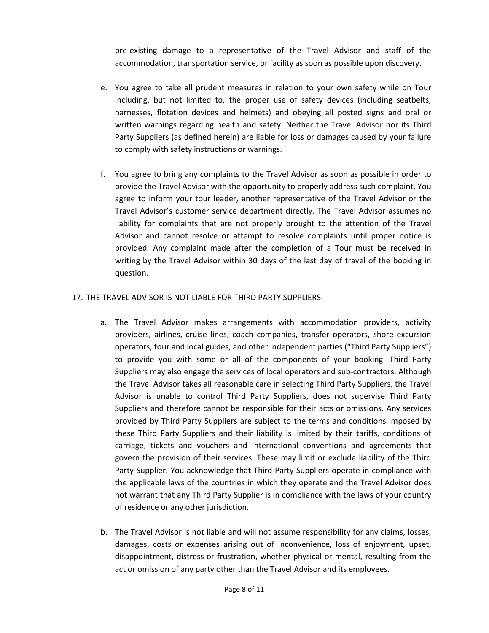pre-existing damage to a representative of the Travel Advisor and staff of the accommodation, transportation service, or facility as soon as possible upon discovery.

- e. You agree to take all prudent measures in relation to your own safety while on Tour including, but not limited to, the proper use of safety devices (including seatbelts, harnesses, flotation devices and helmets) and obeying all posted signs and oral or written warnings regarding health and safety. Neither the Travel Advisor nor its Third Party Suppliers (as defined herein) are liable for loss or damages caused by your failure to comply with safety instructions or warnings.
- f. You agree to bring any complaints to the Travel Advisor as soon as possible in order to provide the Travel Advisor with the opportunity to properly address such complaint. You agree to inform your tour leader, another representative of the Travel Advisor or the Travel Advisor's customer service department directly. The Travel Advisor assumes no liability for complaints that are not properly brought to the attention of the Travel Advisor and cannot resolve or attempt to resolve complaints until proper notice is provided. Any complaint made after the completion of a Tour must be received in writing by the Travel Advisor within 30 days of the last day of travel of the booking in question.

### 17. THE TRAVEL ADVISOR IS NOT LIABLE FOR THIRD PARTY SUPPLIERS

- a. The Travel Advisor makes arrangements with accommodation providers, activity providers, airlines, cruise lines, coach companies, transfer operators, shore excursion operators, tour and local guides, and other independent parties ("Third Party Suppliers") to provide you with some or all of the components of your booking. Third Party Suppliers may also engage the services of local operators and sub-contractors. Although the Travel Advisor takes all reasonable care in selecting Third Party Suppliers, the Travel Advisor is unable to control Third Party Suppliers, does not supervise Third Party Suppliers and therefore cannot be responsible for their acts or omissions. Any services provided by Third Party Suppliers are subject to the terms and conditions imposed by these Third Party Suppliers and their liability is limited by their tariffs, conditions of carriage, tickets and vouchers and international conventions and agreements that govern the provision of their services. These may limit or exclude liability of the Third Party Supplier. You acknowledge that Third Party Suppliers operate in compliance with the applicable laws of the countries in which they operate and the Travel Advisor does not warrant that any Third Party Supplier is in compliance with the laws of your country of residence or any other jurisdiction.
- b. The Travel Advisor is not liable and will not assume responsibility for any claims, losses, damages, costs or expenses arising out of inconvenience, loss of enjoyment, upset, disappointment, distress or frustration, whether physical or mental, resulting from the act or omission of any party other than the Travel Advisor and its employees.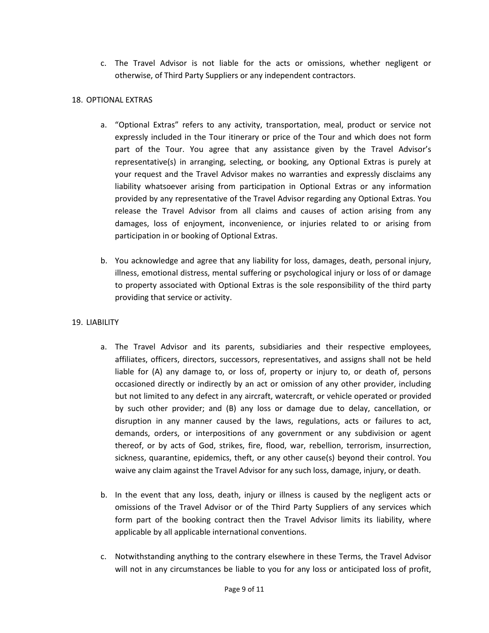c. The Travel Advisor is not liable for the acts or omissions, whether negligent or otherwise, of Third Party Suppliers or any independent contractors.

# 18. OPTIONAL EXTRAS

- a. "Optional Extras" refers to any activity, transportation, meal, product or service not expressly included in the Tour itinerary or price of the Tour and which does not form part of the Tour. You agree that any assistance given by the Travel Advisor's representative(s) in arranging, selecting, or booking, any Optional Extras is purely at your request and the Travel Advisor makes no warranties and expressly disclaims any liability whatsoever arising from participation in Optional Extras or any information provided by any representative of the Travel Advisor regarding any Optional Extras. You release the Travel Advisor from all claims and causes of action arising from any damages, loss of enjoyment, inconvenience, or injuries related to or arising from participation in or booking of Optional Extras.
- b. You acknowledge and agree that any liability for loss, damages, death, personal injury, illness, emotional distress, mental suffering or psychological injury or loss of or damage to property associated with Optional Extras is the sole responsibility of the third party providing that service or activity.

# 19. LIABILITY

- a. The Travel Advisor and its parents, subsidiaries and their respective employees, affiliates, officers, directors, successors, representatives, and assigns shall not be held liable for (A) any damage to, or loss of, property or injury to, or death of, persons occasioned directly or indirectly by an act or omission of any other provider, including but not limited to any defect in any aircraft, watercraft, or vehicle operated or provided by such other provider; and (B) any loss or damage due to delay, cancellation, or disruption in any manner caused by the laws, regulations, acts or failures to act, demands, orders, or interpositions of any government or any subdivision or agent thereof, or by acts of God, strikes, fire, flood, war, rebellion, terrorism, insurrection, sickness, quarantine, epidemics, theft, or any other cause(s) beyond their control. You waive any claim against the Travel Advisor for any such loss, damage, injury, or death.
- b. In the event that any loss, death, injury or illness is caused by the negligent acts or omissions of the Travel Advisor or of the Third Party Suppliers of any services which form part of the booking contract then the Travel Advisor limits its liability, where applicable by all applicable international conventions.
- c. Notwithstanding anything to the contrary elsewhere in these Terms, the Travel Advisor will not in any circumstances be liable to you for any loss or anticipated loss of profit,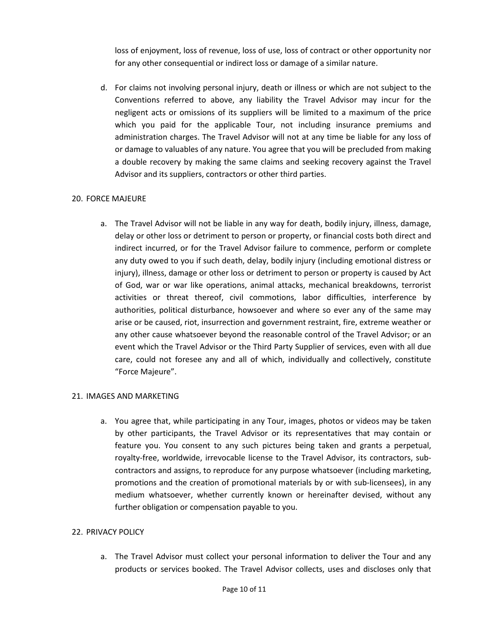loss of enjoyment, loss of revenue, loss of use, loss of contract or other opportunity nor for any other consequential or indirect loss or damage of a similar nature.

d. For claims not involving personal injury, death or illness or which are not subject to the Conventions referred to above, any liability the Travel Advisor may incur for the negligent acts or omissions of its suppliers will be limited to a maximum of the price which you paid for the applicable Tour, not including insurance premiums and administration charges. The Travel Advisor will not at any time be liable for any loss of or damage to valuables of any nature. You agree that you will be precluded from making a double recovery by making the same claims and seeking recovery against the Travel Advisor and its suppliers, contractors or other third parties.

# 20. FORCE MAJEURE

a. The Travel Advisor will not be liable in any way for death, bodily injury, illness, damage, delay or other loss or detriment to person or property, or financial costs both direct and indirect incurred, or for the Travel Advisor failure to commence, perform or complete any duty owed to you if such death, delay, bodily injury (including emotional distress or injury), illness, damage or other loss or detriment to person or property is caused by Act of God, war or war like operations, animal attacks, mechanical breakdowns, terrorist activities or threat thereof, civil commotions, labor difficulties, interference by authorities, political disturbance, howsoever and where so ever any of the same may arise or be caused, riot, insurrection and government restraint, fire, extreme weather or any other cause whatsoever beyond the reasonable control of the Travel Advisor; or an event which the Travel Advisor or the Third Party Supplier of services, even with all due care, could not foresee any and all of which, individually and collectively, constitute "Force Majeure".

#### 21. IMAGES AND MARKETING

a. You agree that, while participating in any Tour, images, photos or videos may be taken by other participants, the Travel Advisor or its representatives that may contain or feature you. You consent to any such pictures being taken and grants a perpetual, royalty-free, worldwide, irrevocable license to the Travel Advisor, its contractors, subcontractors and assigns, to reproduce for any purpose whatsoever (including marketing, promotions and the creation of promotional materials by or with sub-licensees), in any medium whatsoever, whether currently known or hereinafter devised, without any further obligation or compensation payable to you.

#### 22. PRIVACY POLICY

a. The Travel Advisor must collect your personal information to deliver the Tour and any products or services booked. The Travel Advisor collects, uses and discloses only that